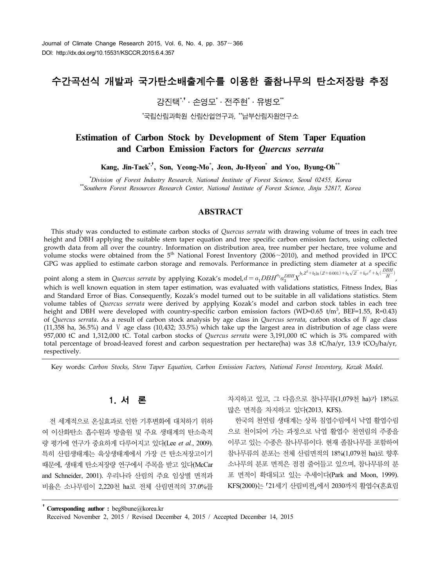# 수간곡선식 개발과 국가탄소배출계수를 이용한 졸참나무의 탄소저장량 추정

강진택 $*$ , 소영모 $*$  · 전주현 $*$  · 유병오 $*$ 

\*국립산림과학원 산림산업연구과, \*\*남부산림자원연구소

## **Estimation of Carbon Stock by Development of Stem Taper Equation and Carbon Emission Factors for** *Quercus serrata*

**Kang, Jin-Taek\*,**†**, Son, Yeong-Mo\* , Jeon, Ju-Hyeon\* and Yoo, Byung-Oh\*\***

*\*Division of Forest Industry Research, National Institute of Forest Science, Seoul 02455, Korea \*\*Southern Forest Resources Research Center, National Institute of Forest Science, Jinju 52817, Korea*

## **ABSTRACT**

This study was conducted to estimate carbon stocks of *Quercus serrata* with drawing volume of trees in each tree height and DBH applying the suitable stem taper equation and tree specific carbon emission factors, using collected growth data from all over the country. Information on distribution area, tree number per hectare, tree volume and volume stocks were obtained from the 5<sup>th</sup> National Forest Inventory (2006∼2010), and method provided in IPCC GPG was applied to estimate carbon storage and removals. Performance in predicting stem diameter at a specific

point along a stem in *Quercus serrata* by applying Kozak's model,  $d = a_1DBH^{a_2}a_3^{DBH}X^{b_1Z^2 + b_2\ln(Z + 0.001) + b_3\sqrt{Z} + b_4e^Z + b_5(\frac{1}{2})a_3e^Z}$ GPG was applied to estimate carbon storage and removals. Performance in predicting stem diameter at a specific<br>point along a stem in *Quercus serrata* by applying Kozak's model,  $d = a_1DBH^{a_2}a_3^{DBH}X^{b_1Z^2+b_2\ln(Z+0.001)+b_$ and Standard Error of Bias. Consequently, Kozak's model turned out to be suitable in all validations statistics. Stem volume tables of *Quercus serrata* were derived by applying Kozak's model and carbon stock tables in each tree height and DBH were developed with country-specific carbon emission factors (WD=0.65 t/m<sup>3</sup>, BEF=1.55, R=0.43) of *Quercus serrata*. As a result of carbon stock analysis by age class in *Quercus serrata*, carbon stocks of Ⅳ age class (11,358 ha, 36.5%) and  $V$  age class (10,432; 33.5%) which take up the largest area in distribution of age class were 957,000 tC and 1,312,000 tC. Total carbon stocks of *Quercus serrata* were 3,191,000 tC which is 3% compared with total percentage of broad-leaved forest and carbon sequestration per hectare(ha) was 3.8 tC/ha/yr, 13.9 tCO<sub>2</sub>/ha/yr, respectively.

Key words: *Carbon Stocks, Stem Taper Equation, Carbon Emission Factors, National Forest Inventory, Kozak Model.*

## 1. 서 론

전 세계적으로 온실효과로 인한 기후변화에 대처하기 위하 여 이산화탄소 흡수원과 방출원 및 주요 생태계의 탄소축적 량 평가에 연구가 중요하게 다루어지고 있다(Lee *et al.*, 2009). 특히 산림생태계는 육상생태계에서 가장 큰 탄소저장고이기 때문에, 생태계 탄소저장량 연구에서 주목을 받고 있다(McCar and Schneider, 2001). 우리나라 산림의 주요 임상별 면적과 비율은 소나무림이 2,220천 ha로 전체 산림면적의 37.0%를 차지하고 있고, 그 다음으로 참나무류(1,079천 ha)가 18%로 많은 면적을 차지하고 있다(2013, KFS).

한국의 천연림 생태계는 상록 침엽수림에서 낙엽 활엽수림 으로 천이되어 가는 과정으로 낙엽 활엽수 천연림의 주종을 이루고 있는 수종은 참나무류이다. 현재 졸참나무를 포함하여 참나무류의 분포는 전체 산림면적의 18%(1,079천 ha)로 향후 소나무의 분포 면적은 점점 줄어들고 있으며, 참나무류의 분 포 면적이 확대되고 있는 추세이다(Park and Moon, 1999). KFS(2000)는 「21세기 산림비젼」에서 2030까지 활엽수(혼효림

†**Corresponding author :** beg8bune@korea.kr

Received November 2, 2015 / Revised December 4, 2015 / Accepted December 14, 2015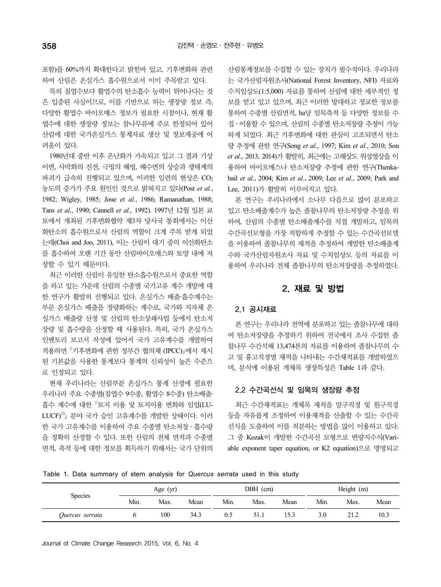포함)를 60%까지 확대한다고 밝힌바 있고, 기후변화와 관련 하여 산림은 온실가스 흡수원으로서 이미 주목받고 있다.

특히 침엽수보다 활엽수의 탄소흡수 능력이 뛰어나다는 것 은 입증된 사실이므로, 이를 기반으로 하는 생장량 정보 즉, 다양한 활엽수 바이오매스 정보가 필요한 시점이나, 현재 활 엽수에 대한 생장량 정보는 참나무류에 주로 한정되어 있어 산림에 대한 국가온실가스 통계자료 생산 및 정보제공에 어 려움이 있다.

1980년대 중반 이후 온난화가 가속되고 있고 그 결과 기상 이변, 사막화의 진전, 극빙의 해빙, 해수면의 상승과 생태계의 파괴가 급속히 진행되고 있으며, 이러한 일련의 현상은  $CO<sub>2</sub>$ 농도의 증가가 주요 원인인 것으로 밝혀지고 있다(Post *et al.*, 1982; Wigley, 1985; Jone *et al.*, 1986; Ramanathan, 1988; Tans *et al.*, 1990; Cannell *et al.*, 1992). 1997년 12월 일본 쿄 토에서 개최된 기후변화협약 제3차 당사국 통회에서는 이산 화탄소의 흡수원으로서 산림의 역할이 크게 주목 받게 되었 는데(Choi and Joo, 2011), 이는 산림이 대기 중의 이산화탄소 를 흡수하여 오랜 기간 동안 산림바이오매스와 토양 내에 저 장할 수 있기 때문이다.

최근 이러한 산림이 유일한 탄소흡수원으로서 중요한 역할 을 하고 있는 가운데 산림의 수종별 국가고유 계수 개발에 대 한 연구가 활발히 진행되고 있다. 온실가스 배출·흡수계수는 부문 온실가스 배출을 정량화하는 계수로, 국가와 지자체 온 실가스 배출량 산정 및 산림의 탄소상쇄사업 등에서 탄소저 장량 및 흡수량을 산정할 때 사용된다. 특히, 국가 온실가스 인벤토리 보고서 작성에 있어서 국가 고유계수를 개발하여 적용하면 기후변화에 관한 정부간 협의체 (IPCC)에서 제시 된 기본값을 사용한 통계보다 통계의 신뢰성이 높은 수준으 로 인정되고 있다.

현재 우리나라는 산림부분 온실가스 통계 산정에 필요한 우리나라 주요 수종별(침엽수 9수종, 활엽수 8수종) 탄소배출· 흡수 계수에 대한 토지 이용 및 토지이용 변화와 임업(LU-LUCF)1) 분야 국가 승인 고유계수를 개발한 상태이다. 이러 한 국가 고유계수를 이용하여 주요 수종별 탄소저장․흡수량 을 정확히 산정할 수 있다. 또한 산림의 전체 면적과 수종별 면적, 축적 등에 대한 정보를 획득하기 위해서는 국가 단위의 산림통계정보를 수집할 수 있는 장치가 필수적이다. 우리나라 는 국가산림자원조사(National Forest Inventory, NFI) 자료와 수치임상도(1:5,000) 자료를 통하여 산림에 대한 세부적인 정 보를 얻고 있고 있으며, 최근 이러한 방대하고 정교한 정보를 통하여 수종별 산림면적, ha당 임목축적 등 다양한 정보를 수 집․이용할 수 있으며, 산림의 수종별 탄소저장량 추정이 가능 하게 되었다. 최근 기후변화에 대한 관심이 고조되면서 탄소 량 추정에 관한 연구(Song *et al.*, 1997; Kim *et al.*, 2010; Son *et al.*, 2013, 2014)가 활발히, 최근에는 고해상도 위성영상을 이 용하여 바이오매스나 탄소저장량 추정에 관한 연구(Thenkabail *et al.*, 2004; Kim *et al.*, 2009; Lee *et al.*, 2009; Park and Lee, 2011)가 활발히 이루어지고 있다.

본 연구는 우리나라에서 소나무 다음으로 많이 분포하고 있고 탄소배출계수가 높은 졸참나무의 탄소저장량 추정을 위 하여, 산림의 수종별 탄소배출계수를 직접 개발하고, 임목의 수간곡선모형을 가장 적합하게 추정할 수 있는 수간곡선모델 을 이용하여 졸참나무의 재적을 추정하여 개발한 탄소배출계 수와 국가산림자원조사 자료 및 수치임상도 등의 자료를 이 용하여 우리나라 전체 졸참나무의 탄소저장량을 추정하였다.

## 2. 재료 및 방법

## 2.1 공시재료

본 연구는 우리나라 전역에 분포하고 있는 졸참나무에 대하 여 탄소저장량을 추정하기 위하여 전국에서 조사 수집한 졸 참나무 수간석해 13,474본의 자료를 이용하여 졸참나무의 수 고 및 흉고직경별 재적을 나타내는 수간재적표를 개발하였으 며, 분석에 이용된 개체목 생장특성은 Table 1과 같다.

### 2.2 수간곡선식 및 임목의 생장량 추정

최근 수간재적표는 개체목 재적을 말구직경 및 원구직경 등을 자유롭게 조정하여 이용재적을 산출할 수 있는 수간곡 선식을 도출하여 이를 적분하는 방법을 많이 이용하고 있다. 그 중 Kozak이 개발한 수간곡선 모형으로 변량지수식(Variable exponent taper equation, or K2 equation)으로 명명되고

Table 1. Data summary of stem analysis for *Quercus serrata* used in this study

|                 |      | Age $(yr)$ |      |      | DBH (cm) |      | Height (m) |      |      |
|-----------------|------|------------|------|------|----------|------|------------|------|------|
| <b>Species</b>  | Min. | Max.       | Mean | Min. | Max.     | Mean | Min.       | Max. | Mean |
| Quercus serrata |      | 100        | 34.3 | U.)  | 51.1     |      | 3.0        | 21 Z | 10.3 |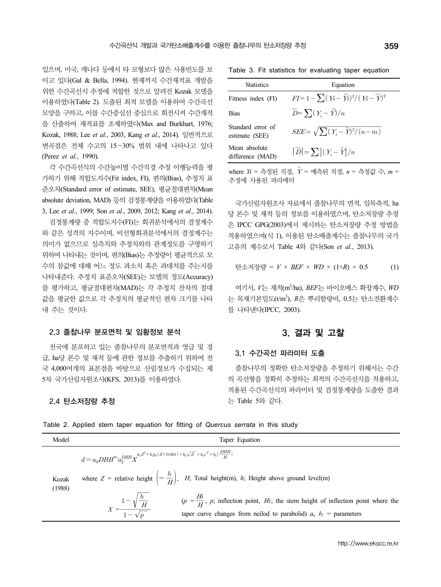있으며, 미국, 캐나다 등에서 타 모형보다 많은 사용빈도를 보 이고 있다(Gal & Bella, 1994). 현재까지 수간재적표 개발을 위한 수간곡선식 추정에 적합한 것으로 알려진 Kozak 모델을 이용하였다(Table 2). 도출된 최적 모델을 이용하여 수간곡선 모양을 구하고, 이를 수간중심선 중심으로 회전시켜 수간재적 을 산출하여 재적표를 조제하였다(Max and Burkhart, 1976; Kozak, 1988; Lee *et al.*, 2003, Kang *et al.*, 2014). 일반적으로 변곡점은 전체 수고의 15∼30% 범위 내에 나타나고 있다 (Perez *et al.*, 1990).

각 수간곡선식의 수간높이별 수간직경 추정 이행능력을 평 가하기 위해 적합도지수(Fit index, FI), 편의(Bias), 추정치 표 준오차(Standard error of estimate, SEE), 평균절대편차(Mean absolute deviation, MAD) 등의 검정통계량을 이용하였다(Table 3, Lee *et al.*, 1999; Son *et al.*, 2009, 2012; Kang *et al.*, 2014).

검정통계량 중 적합도지수(FI)는 회귀분석에서의 결정계수 와 같은 성격의 지수이며, 비선형회귀분석에서의 결정계수는 의미가 없으므로 실측치와 추정치와의 관계정도를 구명하기 위하여 나타내는 것이며, 편의(Bias)는 추정량이 평균적으로 모 수의 참값에 대해 어느 정도 과소치 혹은 과대치를 주는지를 나타내준다. 추정치 표준오차(SEE)는 모델의 정도(Accuracy) 를 평가하고, 평균절대편차(MAD)는 각 추정치 잔차의 절대 값을 평균한 값으로 각 추정치의 평균적인 편차 크기를 나타 내 주는 것이다.

#### 2.3 졸참나무 분포면적 및 임황정보 분석

전국에 분포하고 있는 졸참나무의 분포면적과 영급 및 경 급, ha당 본수 및 재적 등에 관한 정보를 추출하기 위하여 전 국 4,000여개의 표본점을 바탕으로 산림정보가 수집되는 제 5차 국가산림자원조사(KFS, 2013)를 이용하였다.

#### 2.4 탄소저장량 추정

| 한 졸참나무의 탄소저장량 추정                    | 359                                                    |
|-------------------------------------|--------------------------------------------------------|
|                                     | Table 3. Fit statistics for evaluating taper equation  |
| <b>Statistics</b>                   | Equation                                               |
| Fitness index (FI)                  | $FI=1-\sum (Y_i-\widehat{Y}_i)^2/(Y_i-\overline{Y})^2$ |
| <b>Bias</b>                         | $\overline{D} = \sum (Y_i - \widehat{Y})/n$            |
| Standard error of<br>estimate (SEE) | $SEE = \sqrt{\sum (Y_i - \hat{Y})^2/(n-m)}$            |
| Mean absolute<br>difference (MAD)   | $ \overline{D}  = \sum  (Y_i - \hat{Y}) /n$            |

 $where Y_i = \frac{2}{3}Z_i + \frac{2}{3}Z_i + \frac{2}{3}Z_i + \frac{2}{3}Z_i + \frac{2}{3}Z_i + \frac{2}{3}Z_i + \frac{2}{3}Z_i + \frac{2}{3}Z_i + \frac{2}{3}Z_i + \frac{2}{3}Z_i + \frac{2}{3}Z_i + \frac{2}{3}Z_i + \frac{2}{3}Z_i + \frac{2}{3}Z_i + \frac{2}{3}Z_i + \frac{2}{3}Z_i + \frac{2}{3}Z_i + \frac{2}{3}Z_i + \frac{2}{3}Z_i + \frac{2}{3}Z_i + \frac{2}{3}Z_i + \frac{2}{$ 추정에 사용된 파라메터

국가산림자원조사 자료에서 졸참나무의 면적, 임목축적, ha 당 본수 및 재적 등의 정보를 이용하였으며, 탄소저장량 추정 은 IPCC GPG(2003)에서 제시하는 탄소저장량 추정 방법을 적용하였으며(식 1), 이용된 탄소배출계수는 졸참나무의 국가 고유의 계수로서 Table 4와 같다(Son *et al.*, 2013).

탄소저장량 = 
$$
V \times BEF \times WD \times (1+R) \times 0.5
$$
 (1)

여기서, *V*는 재적(m<sup>3</sup> /ha), *BEF*는 바이오매스 확장계수, *WD* 는 목재기본밀도(t/m<sup>3</sup>), *R*은 뿌리함량비, 0.5는 탄소전환계수 를 나타낸다(IPCC, 2003).

## 3. 결과 및 고찰

#### 3.1 수간곡선 파라미터 도출

졸참나무의 정확한 탄소저장량을 추정하기 위해서는 수간 의 곡선형을 정확히 추정하는 최적의 수간곡선식을 적용하고, 적용된 수간곡선식의 파라미터 및 검정통계량을 도출한 결과 는 Table 5와 같다.

| Model           | Taper Equation                                                                                                                                                                                                                                                                                       |
|-----------------|------------------------------------------------------------------------------------------------------------------------------------------------------------------------------------------------------------------------------------------------------------------------------------------------------|
|                 | $d=a_0 DBH^{a_1} a_2^{DBH} \boldsymbol X^{b_1Z^2+b_2\ln{(Z+0.001)}+b_3\sqrt{Z}~+b_4e^Z+b_5(\frac{DBH}{H})}$                                                                                                                                                                                          |
| Kozak<br>(1988) | where $Z =$ relative height $\left( = \frac{h}{H} \right)$ , H; Total height(m), h; Height above ground level(m)                                                                                                                                                                                     |
|                 | $X = \frac{1 - \sqrt{\frac{h}{H}}}{1 - \sqrt{n}}$ ( $p = \frac{Hi}{H}$ , p; inflection point, Hi; the stem height of inflection point where the taper curve changes from neilod to parabolid) $a_i$ , $b_i$ = parameters<br>taper curve changes from neilod to parabolid) $a_i$ , $b_i$ = parameters |

Table 2. Applied stem taper equation for fitting of *Quercus serrata* in this study

http://www.ekscc.re.kr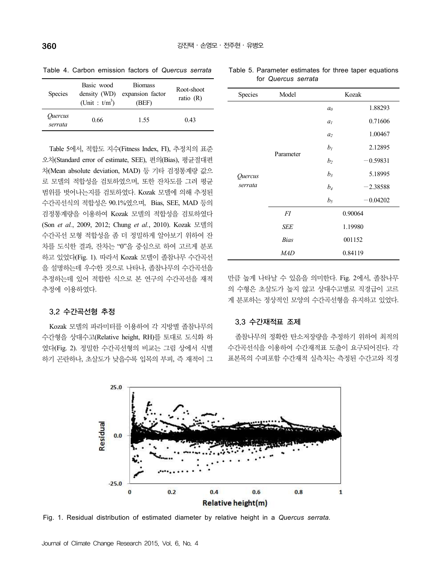| <b>Species</b>            | Basic wood<br>density (WD)<br>(Unit: $t/m^3$ ) | <b>Biomass</b><br>expansion factor<br>(BEF) | Root-shoot<br>ratio $(R)$ |
|---------------------------|------------------------------------------------|---------------------------------------------|---------------------------|
| <i>Ouercus</i><br>serrata | 0.66                                           | 1.55                                        | 0.43                      |

Table 4. Carbon emission factors of *Quercus serrata*

Table 5에서, 적합도 지수(Fitness Index, FI), 추정치의 표준 오차(Standard error of estimate, SEE), 편의(Bias), 평균절대편 차(Mean absolute deviation, MAD) 등 기타 검정통계량 값으 로 모델의 적합성을 검토하였으며, 또한 잔차도를 그려 평균 범위를 벗어나는지를 검토하였다. Kozak 모델에 의해 추정된 수간곡선식의 적합성은 90.1%였으며, Bias, SEE, MAD 등의 검정통계량을 이용하여 Kozak 모델의 적합성을 검토하였다 (Son *et al.*, 2009, 2012; Chung *et al.*, 2010). Kozak 모델의 수간곡선 모형 적합성을 좀 더 정밀하게 알아보기 위하여 잔 차를 도식한 결과, 잔차는 "0"을 중심으로 하여 고르게 분포 하고 있었다(Fig. 1). 따라서 Kozak 모델이 졸참나무 수간곡선 을 설명하는데 우수한 것으로 나타나, 졸참나무의 수간곡선을 추정하는데 있어 적합한 식으로 본 연구의 수간곡선을 재적 추정에 이용하였다.

#### 3.2 수간곡선형 추정

Kozak 모델의 파라미터를 이용하여 각 지방별 졸참나무의 수간형을 상대수고(Relative height, RH)를 토대로 도식화 하 였다(Fig. 2). 정밀한 수간곡선형의 비교는 그림 상에서 식별 하기 곤란하나, 초살도가 낮을수록 입목의 부피, 즉 재적이 그

| Species | Model       |                    | Kozak      |  |  |
|---------|-------------|--------------------|------------|--|--|
|         |             | a <sub>0</sub>     | 1.88293    |  |  |
|         |             | a <sub>l</sub>     | 0.71606    |  |  |
|         |             | a <sub>2</sub>     | 1.00467    |  |  |
|         |             | $b_I$              | 2.12895    |  |  |
|         | Parameter   | b <sub>2</sub>     | $-0.59831$ |  |  |
| Quercus |             | $b_3$              | 5.18995    |  |  |
| serrata |             | $b_4$              | $-2.38588$ |  |  |
|         |             | b <sub>5</sub>     | $-0.04202$ |  |  |
|         | FI          | 0.90064<br>1.19980 |            |  |  |
|         | <b>SEE</b>  |                    |            |  |  |
|         | <b>Bias</b> | 001152             |            |  |  |
|         | <b>MAD</b>  |                    | 0.84119    |  |  |

Table 5. Parameter estimates for three taper equations

for *Quercus serrata*

만큼 높게 나타날 수 있음을 의미한다. Fig. 2에서, 졸참나무 의 수형은 초살도가 높지 않고 상대수고별로 직경급이 고르 게 분포하는 정상적인 모양의 수간곡선형을 유지하고 있었다.

### 3.3 수간재적표 조제

졸참나무의 정확한 탄소저장량을 추정하기 위하여 최적의 수간곡선식을 이용하여 수간재적표 도출이 요구되어진다. 각 표본목의 수피포함 수간재적 실측치는 측정된 수간고와 직경



Fig. 1. Residual distribution of estimated diameter by relative height in a *Quercus serrata.*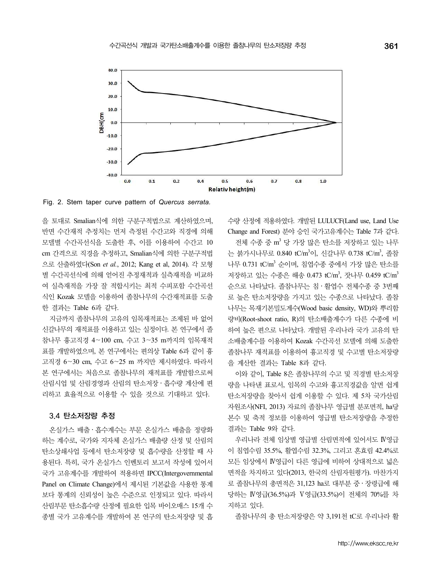

Fig. 2. Stem taper curve pattern of *Quercus serrata.*

을 토대로 Smalian식에 의한 구분구적법으로 계산하였으며, 반면 수간재적 추정치는 먼저 측정된 수간고와 직경에 의해 모델별 수간곡선식을 도출한 후, 이를 이용하여 수간고 10 cm 간격으로 직경을 추정하고, Smalian식에 의한 구분구적법 으로 산출하였다(Son *et al.*, 2012; Kang et al, 2014). 각 모형 별 수간곡선식에 의해 얻어진 추정재적과 실측재적을 비교하 여 실측재적을 가장 잘 적합시키는 최적 수피포함 수간곡선 식인 Kozak 모델을 이용하여 졸참나무의 수간재적표를 도출 한 결과는 Table 6과 같다.

지금까지 졸참나무의 고유의 임목재적표는 조제된 바 없어 신갈나무의 재적표를 이용하고 있는 실정이다. 본 연구에서 졸 참나무 흉고직경 4∼100 cm, 수고 3∼35 m까지의 임목재적 표를 개발하였으며, 본 연구에서는 편의상 Table 6과 같이 흉 고직경 6∼30 cm, 수고 6∼25 m 까지만 제시하였다. 따라서 본 연구에서는 처음으로 졸참나무의 재적표를 개발함으로써 산림시업 및 산림경영과 산림의 탄소저장․흡수량 계산에 편 리하고 효율적으로 이용할 수 있을 것으로 기대하고 있다.

#### 3.4 탄소저장량 추정

온실가스 배출․흡수계수는 부문 온실가스 배출을 정량화 하는 계수로, 국가와 지자체 온실가스 배출량 산정 및 산림의 탄소상쇄사업 등에서 탄소저장량 및 흡수량을 산정할 때 사 용된다. 특히, 국가 온실가스 인벤토리 보고서 작성에 있어서 국가 고유계수를 개발하여 적용하면 IPCC(Intergovernmental Panel on Climate Change)에서 제시된 기본값을 사용한 통계 보다 통계의 신뢰성이 높은 수준으로 인정되고 있다. 따라서 산림부문 탄소흡수량 산정에 필요한 입목 바이오매스 15개 수 종별 국가 고유계수를 개발하여 본 연구의 탄소저장량 및 흡 수량 산정에 적용하였다. 개발된 LULUCF(Land use, Land Use Change and Forest) 분야 승인 국가고유계수는 Table 7과 같다.

전체 수종 중 m <sup>3</sup> 당 가장 많은 탄소를 저장하고 있는 나무 는 붉가시나무로 0.840 tC/m<sup>3</sup>이, 신갈나무 0.738 tC/m<sup>3</sup>, 졸참 나무 0.731 tC/m<sup>3</sup> 순이며, 침엽수종 중에서 가장 많은 탄소를 저장하고 있는 수종은 해송 0.473 tC/m<sup>3</sup>, 잣나무 0.459 tC/m<sup>3</sup> 순으로 나타났다. 졸참나무는 침․활엽수 전체수종 중 3번째 로 높은 탄소저장량을 가지고 있는 수종으로 나타났다. 졸참 나무는 목재기본밀도계수(Wood basic density, WD)와 뿌리함 량비(Root-shoot ratio, R)의 탄소배출계수가 다른 수종에 비 하여 높은 편으로 나타났다. 개발된 우리나라 국가 고유의 탄 소배출계수를 이용하여 Kozak 수간곡선 모델에 의해 도출한 졸참나무 재적표를 이용하여 흉고직경 및 수고별 탄소저장량 을 계산한 결과는 Table 8과 같다.

이와 같이, Table 8은 졸참나무의 수고 및 직경별 탄소저장 량을 나타낸 표로서, 임목의 수고와 흉고직경값을 알면 쉽게 탄소저장량을 찾아서 쉽게 이용할 수 있다. 제 5차 국가산림 자원조사(NFI, 2013) 자료의 졸참나무 영급별 분포면적, ha당 본수 및 축적 정보를 이용하여 영급별 탄소저장량을 추정한 결과는 Table 9와 같다.

우리나라 전체 임상별 영급별 산림면적에 있어서도 Ⅳ영급 이 침엽수림 35.5%, 활엽수림 32.3%, 그리고 혼효림 42.4%로 모든 임상에서 Ⅳ영급이 다른 영급에 비하여 상대적으로 넓은 면적을 차지하고 있다(2013, 한국의 산림자원평가). 마찬가지 로 졸참나무의 총면적은 31,123 ha로 대부분 중․장령급에 해 당하는 Ⅳ영급(36.5%)과 Ⅴ영급(33.5%)이 전체의 70%를 차 지하고 있다.

졸참나무의 총 탄소저장량은 약 3,191천 tC로 우리나라 활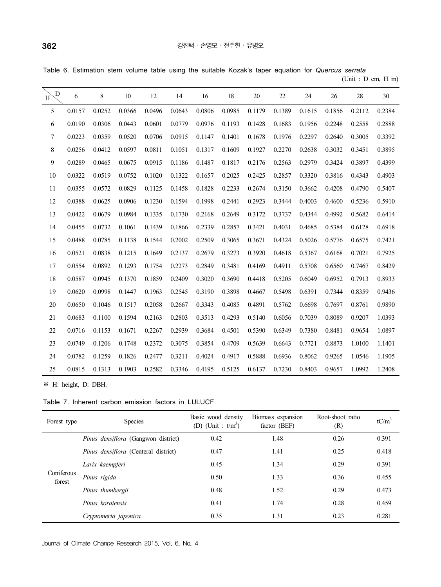|  | Table 6. Estimation stem volume table using the suitable Kozak's taper equation for Quercus serrata |  |  |  |  |  |  |                       |
|--|-----------------------------------------------------------------------------------------------------|--|--|--|--|--|--|-----------------------|
|  |                                                                                                     |  |  |  |  |  |  | (Unit: $D$ cm, $H$ m) |

| $\overline{\mathrm{D}}$<br>H | 6      | 8      | 10     | 12     | 14     | 16     | 18     | 20     | 22     | 24     | 26     | 28     | 30     |
|------------------------------|--------|--------|--------|--------|--------|--------|--------|--------|--------|--------|--------|--------|--------|
| 5                            | 0.0157 | 0.0252 | 0.0366 | 0.0496 | 0.0643 | 0.0806 | 0.0985 | 0.1179 | 0.1389 | 0.1615 | 0.1856 | 0.2112 | 0.2384 |
| 6                            | 0.0190 | 0.0306 | 0.0443 | 0.0601 | 0.0779 | 0.0976 | 0.1193 | 0.1428 | 0.1683 | 0.1956 | 0.2248 | 0.2558 | 0.2888 |
| 7                            | 0.0223 | 0.0359 | 0.0520 | 0.0706 | 0.0915 | 0.1147 | 0.1401 | 0.1678 | 0.1976 | 0.2297 | 0.2640 | 0.3005 | 0.3392 |
| 8                            | 0.0256 | 0.0412 | 0.0597 | 0.0811 | 0.1051 | 0.1317 | 0.1609 | 0.1927 | 0.2270 | 0.2638 | 0.3032 | 0.3451 | 0.3895 |
| 9                            | 0.0289 | 0.0465 | 0.0675 | 0.0915 | 0.1186 | 0.1487 | 0.1817 | 0.2176 | 0.2563 | 0.2979 | 0.3424 | 0.3897 | 0.4399 |
| 10                           | 0.0322 | 0.0519 | 0.0752 | 0.1020 | 0.1322 | 0.1657 | 0.2025 | 0.2425 | 0.2857 | 0.3320 | 0.3816 | 0.4343 | 0.4903 |
| 11                           | 0.0355 | 0.0572 | 0.0829 | 0.1125 | 0.1458 | 0.1828 | 0.2233 | 0.2674 | 0.3150 | 0.3662 | 0.4208 | 0.4790 | 0.5407 |
| 12                           | 0.0388 | 0.0625 | 0.0906 | 0.1230 | 0.1594 | 0.1998 | 0.2441 | 0.2923 | 0.3444 | 0.4003 | 0.4600 | 0.5236 | 0.5910 |
| 13                           | 0.0422 | 0.0679 | 0.0984 | 0.1335 | 0.1730 | 0.2168 | 0.2649 | 0.3172 | 0.3737 | 0.4344 | 0.4992 | 0.5682 | 0.6414 |
| 14                           | 0.0455 | 0.0732 | 0.1061 | 0.1439 | 0.1866 | 0.2339 | 0.2857 | 0.3421 | 0.4031 | 0.4685 | 0.5384 | 0.6128 | 0.6918 |
| 15                           | 0.0488 | 0.0785 | 0.1138 | 0.1544 | 0.2002 | 0.2509 | 0.3065 | 0.3671 | 0.4324 | 0.5026 | 0.5776 | 0.6575 | 0.7421 |
| 16                           | 0.0521 | 0.0838 | 0.1215 | 0.1649 | 0.2137 | 0.2679 | 0.3273 | 0.3920 | 0.4618 | 0.5367 | 0.6168 | 0.7021 | 0.7925 |
| 17                           | 0.0554 | 0.0892 | 0.1293 | 0.1754 | 0.2273 | 0.2849 | 0.3481 | 0.4169 | 0.4911 | 0.5708 | 0.6560 | 0.7467 | 0.8429 |
| 18                           | 0.0587 | 0.0945 | 0.1370 | 0.1859 | 0.2409 | 0.3020 | 0.3690 | 0.4418 | 0.5205 | 0.6049 | 0.6952 | 0.7913 | 0.8933 |
| 19                           | 0.0620 | 0.0998 | 0.1447 | 0.1963 | 0.2545 | 0.3190 | 0.3898 | 0.4667 | 0.5498 | 0.6391 | 0.7344 | 0.8359 | 0.9436 |
| 20                           | 0.0650 | 0.1046 | 0.1517 | 0.2058 | 0.2667 | 0.3343 | 0.4085 | 0.4891 | 0.5762 | 0.6698 | 0.7697 | 0.8761 | 0.9890 |
| 21                           | 0.0683 | 0.1100 | 0.1594 | 0.2163 | 0.2803 | 0.3513 | 0.4293 | 0.5140 | 0.6056 | 0.7039 | 0.8089 | 0.9207 | 1.0393 |
| 22                           | 0.0716 | 0.1153 | 0.1671 | 0.2267 | 0.2939 | 0.3684 | 0.4501 | 0.5390 | 0.6349 | 0.7380 | 0.8481 | 0.9654 | 1.0897 |
| 23                           | 0.0749 | 0.1206 | 0.1748 | 0.2372 | 0.3075 | 0.3854 | 0.4709 | 0.5639 | 0.6643 | 0.7721 | 0.8873 | 1.0100 | 1.1401 |
| 24                           | 0.0782 | 0.1259 | 0.1826 | 0.2477 | 0.3211 | 0.4024 | 0.4917 | 0.5888 | 0.6936 | 0.8062 | 0.9265 | 1.0546 | 1.1905 |
| 25                           | 0.0815 | 0.1313 | 0.1903 | 0.2582 | 0.3346 | 0.4195 | 0.5125 | 0.6137 | 0.7230 | 0.8403 | 0.9657 | 1.0992 | 1.2408 |

※ H: height, D: DBH.

Table 7. Inherent carbon emission factors in LULUCF

| Forest type          | <b>Species</b>                              | Basic wood density<br>(D) (Unit : $t/m3$ ) | Biomass expansion<br>factor (BEF) | Root-shoot ratio<br>(R) | $tC/m^3$ |
|----------------------|---------------------------------------------|--------------------------------------------|-----------------------------------|-------------------------|----------|
|                      | <i>Pinus densiflora</i> (Gangwon district)  | 0.42                                       | 1.48                              | 0.26                    | 0.391    |
|                      | <i>Pinus densiflora</i> (Centeral district) | 0.47                                       | 1.41                              | 0.25                    | 0.418    |
|                      | Larix kaempferi                             | 0.45                                       | 1.34                              | 0.29                    | 0.391    |
| Coniferous<br>forest | Pinus rigida                                | 0.50                                       | 1.33                              | 0.36                    | 0.455    |
|                      | Pinus thumbergii                            | 0.48                                       | 1.52                              | 0.29                    | 0.473    |
|                      | Pinus koraiensis                            | 0.41                                       | 1.74                              | 0.28                    | 0.459    |
|                      | Cryptomeria japonica                        | 0.35                                       | 1.31                              | 0.23                    | 0.281    |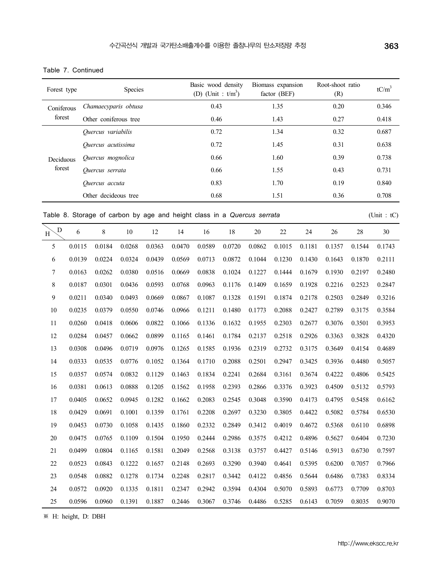| Forest type |        |                                                                         | Species |        |        | Basic wood density<br>(D) (Unit : $t/m^3$ ) |        |        | Biomass expansion<br>factor (BEF) |        | Root-shoot ratio<br>(R) |        | $tC/m^3$    |
|-------------|--------|-------------------------------------------------------------------------|---------|--------|--------|---------------------------------------------|--------|--------|-----------------------------------|--------|-------------------------|--------|-------------|
| Coniferous  |        | Chamaecyparis obtusa                                                    |         |        |        | 0.43                                        |        |        | 1.35                              |        | 0.20                    |        | 0.346       |
| forest      |        | Other coniferous tree                                                   |         |        |        | 0.46                                        |        | 1.43   |                                   |        | 0.27                    |        | 0.418       |
|             |        | Quercus variabilis                                                      |         |        |        | 0.72                                        |        |        | 1.34                              |        | 0.32                    |        | 0.687       |
|             |        | Quercus acutissima                                                      |         |        |        | 0.72                                        |        |        | 1.45                              |        | 0.31                    |        | 0.638       |
| Deciduous   |        | Quercus mognolica                                                       |         |        |        | 0.66                                        |        |        | 1.60                              |        | 0.39                    |        | 0.738       |
| forest      |        | Quercus serrata                                                         |         |        |        | 0.66                                        |        |        | 1.55                              |        | 0.43                    |        | 0.731       |
|             |        | Quercus accuta                                                          |         |        |        | 0.83                                        |        |        | 1.70                              |        | 0.19                    |        | 0.840       |
|             |        | Other decideous tree                                                    |         |        |        | 0.68                                        |        |        | 1.51                              |        | 0.36                    |        | 0.708       |
|             |        | Table 8. Storage of carbon by age and height class in a Quercus serrata |         |        |        |                                             |        |        |                                   |        |                         |        | (Unit : tC) |
| D<br>H      | 6      | $8\,$                                                                   | $10\,$  | 12     | 14     | 16                                          | 18     | 20     | $22\,$                            | 24     | 26                      | 28     | 30          |
| 5           | 0.0115 | 0.0184                                                                  | 0.0268  | 0.0363 | 0.0470 | 0.0589                                      | 0.0720 | 0.0862 | 0.1015                            | 0.1181 | 0.1357                  | 0.1544 | 0.1743      |
| 6           | 0.0139 | 0.0224                                                                  | 0.0324  | 0.0439 | 0.0569 | 0.0713                                      | 0.0872 | 0.1044 | 0.1230                            | 0.1430 | 0.1643                  | 0.1870 | 0.2111      |
| 7           | 0.0163 | 0.0262                                                                  | 0.0380  | 0.0516 | 0.0669 | 0.0838                                      | 0.1024 | 0.1227 | 0.1444                            | 0.1679 | 0.1930                  | 0.2197 | 0.2480      |
| 8           | 0.0187 | 0.0301                                                                  | 0.0436  | 0.0593 | 0.0768 | 0.0963                                      | 0.1176 | 0.1409 | 0.1659                            | 0.1928 | 0.2216                  | 0.2523 | 0.2847      |
| 9           | 0.0211 | 0.0340                                                                  | 0.0493  | 0.0669 | 0.0867 | 0.1087                                      | 0.1328 | 0.1591 | 0.1874                            | 0.2178 | 0.2503                  | 0.2849 | 0.3216      |
| 10          | 0.0235 | 0.0379                                                                  | 0.0550  | 0.0746 | 0.0966 | 0.1211                                      | 0.1480 | 0.1773 | 0.2088                            | 0.2427 | 0.2789                  | 0.3175 | 0.3584      |
| 11          | 0.0260 | 0.0418                                                                  | 0.0606  | 0.0822 | 0.1066 | 0.1336                                      | 0.1632 | 0.1955 | 0.2303                            | 0.2677 | 0.3076                  | 0.3501 | 0.3953      |
| 12          | 0.0284 | 0.0457                                                                  | 0.0662  | 0.0899 | 0.1165 | 0.1461                                      | 0.1784 | 0.2137 | 0.2518                            | 0.2926 | 0.3363                  | 0.3828 | 0.4320      |
| 13          | 0.0308 | 0.0496                                                                  | 0.0719  | 0.0976 | 0.1265 | 0.1585                                      | 0.1936 | 0.2319 | 0.2732                            | 0.3175 | 0.3649                  | 0.4154 | 0.4689      |
| 14          | 0.0333 | 0.0535                                                                  | 0.0776  | 0.1052 | 0.1364 | 0.1710                                      | 0.2088 | 0.2501 | 0.2947                            | 0.3425 | 0.3936                  | 0.4480 | 0.5057      |
| 15          | 0.0357 | 0.0574                                                                  | 0.0832  | 0.1129 | 0.1463 | 0.1834                                      | 0.2241 | 0.2684 | 0.3161                            | 0.3674 | 0.4222                  | 0.4806 | 0.5425      |
| 16          | 0.0381 | 0.0613                                                                  | 0.0888  | 0.1205 | 0.1562 | 0.1958                                      | 0.2393 | 0.2866 | 0.3376                            | 0.3923 | 0.4509                  | 0.5132 | 0.5793      |
| 17          | 0.0405 | 0.0652                                                                  | 0.0945  | 0.1282 | 0.1662 | 0.2083                                      | 0.2545 | 0.3048 | 0.3590                            | 0.4173 | 0.4795                  | 0.5458 | 0.6162      |
| 18          | 0.0429 | 0.0691                                                                  | 0.1001  | 0.1359 | 0.1761 | 0.2208                                      | 0.2697 | 0.3230 | 0.3805                            | 0.4422 | 0.5082                  | 0.5784 | 0.6530      |
| 19          | 0.0453 | 0.0730                                                                  | 0.1058  | 0.1435 | 0.1860 | 0.2332                                      | 0.2849 | 0.3412 | 0.4019                            | 0.4672 | 0.5368                  | 0.6110 | 0.6898      |
| 20          | 0.0475 | 0.0765                                                                  | 0.1109  | 0.1504 | 0.1950 | 0.2444                                      | 0.2986 | 0.3575 | 0.4212                            | 0.4896 | 0.5627                  | 0.6404 | 0.7230      |
| 21          | 0.0499 | 0.0804                                                                  | 0.1165  | 0.1581 | 0.2049 | 0.2568                                      | 0.3138 | 0.3757 | 0.4427                            | 0.5146 | 0.5913                  | 0.6730 | 0.7597      |
| 22          | 0.0523 | 0.0843                                                                  | 0.1222  | 0.1657 | 0.2148 | 0.2693                                      | 0.3290 | 0.3940 | 0.4641                            | 0.5395 | 0.6200                  | 0.7057 | 0.7966      |
| 23          | 0.0548 | 0.0882                                                                  | 0.1278  | 0.1734 | 0.2248 | 0.2817                                      | 0.3442 | 0.4122 | 0.4856                            | 0.5644 | 0.6486                  | 0.7383 | 0.8334      |
| 24          | 0.0572 | 0.0920                                                                  | 0.1335  | 0.1811 | 0.2347 | 0.2942                                      | 0.3594 | 0.4304 | 0.5070                            | 0.5893 | 0.6773                  | 0.7709 | 0.8703      |
| 25          | 0.0596 | 0.0960                                                                  | 0.1391  | 0.1887 | 0.2446 | 0.3067                                      | 0.3746 | 0.4486 | 0.5285                            | 0.6143 | 0.7059                  | 0.8035 | 0.9070      |

Table 7. Continued

※ H: height, D: DBH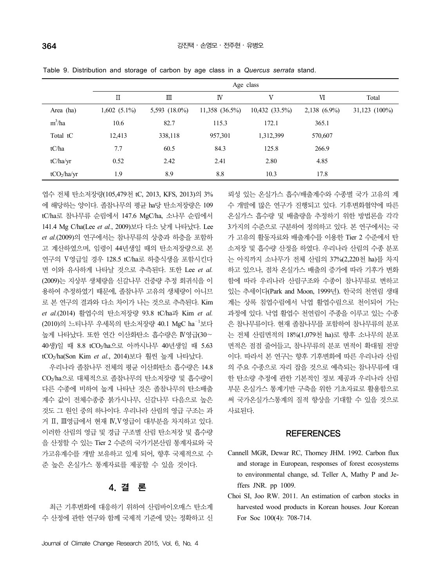|           | Age class      |                  |                     |                     |                |                 |  |  |  |  |
|-----------|----------------|------------------|---------------------|---------------------|----------------|-----------------|--|--|--|--|
|           | П              | Ш                | JV                  | V                   | VI             | Total           |  |  |  |  |
| Area (ha) | $1,602(5.1\%)$ | 5,593 $(18.0\%)$ | $11,358$ $(36.5\%)$ | $10,432$ $(33.5\%)$ | $2,138$ (6.9%) | $31,123$ (100%) |  |  |  |  |
| $m^3/ha$  | 10.6           | 82.7             | 115.3               | 172.1               | 365.1          |                 |  |  |  |  |
| Total tC  | 12,413         | 338,118          | 957,301             | 1,312,399           | 570,607        |                 |  |  |  |  |
| tC/ha     | 7.7            | 60.5             | 84.3                | 125.8               | 266.9          |                 |  |  |  |  |

tC/ha/yr 0.52 2.42 2.41 2.80 4.85 tCO<sub>2</sub>/ha/yr 1.9 8.9 8.8 10.3 17.8

Table 9. Distribution and storage of carbon by age class in a *Quercus serrata* stand.

엽수 전체 탄소저장량(105,479천 tC, 2013, KFS, 2013)의 3% 에 해당하는 양이다. 졸참나무의 평균 ha당 탄소저장량은 109 tC/ha로 참나무류 순림에서 147.6 MgC/ha, 소나무 순림에서 141.4 Mg C/ha(Lee *et al.*, 2009)보다 다소 낮게 나타났다. Lee *et al.*(2009)의 연구에서는 참나무류의 상층과 하층을 포함하 고 계산하였으며, 임령이 44년생일 때의 탄소저장량으로 본 연구의 Ⅴ영급일 경우 128.5 tC/ha로 하층식생을 포함시킨다 면 이와 유사하게 나타날 것으로 추측된다. 또한 Lee *et al.*  (2009)는 지상부 생체량을 신갈나무 건중량 추정 회귀식을 이 용하여 추정하였기 때문에, 졸참나무 고유의 생체량이 아니므 로 본 연구의 결과와 다소 차이가 나는 것으로 추측된다. Kim *et al.*(2014) 활엽수의 탄소저장량 93.8 tC/ha과 Kim *et al.*  (2010)의 느티나무 우세목의 탄소저장량 40.1 MgC ha—<sup>1</sup>보다 높게 나타났다. 또한 연간 이산화탄소 흡수량은 Ⅳ영급(30∼ 40생)일 때 8.8 tCO2/ha으로 아까시나무 40년생일 때 5.63 tCO2/ha(Son Kim *et al.*, 2014)보다 훨씬 높게 나타났다.

우리나라 졸참나무 전체의 평균 이산화탄소 흡수량은 14.8 CO2/ha으로 대체적으로 졸참나무의 탄소저장량 및 흡수량이 다른 수종에 비하여 높게 나타난 것은 졸참나무의 탄소배출 계수 값이 전체수종중 붉가시나무, 신갈나무 다음으로 높은 것도 그 원인 중의 하나이다. 우리나라 산림의 영급 구조는 과 거 Ⅱ, Ⅲ영급에서 현재 Ⅳ,Ⅴ영급이 대부분을 차지하고 있다. 이러한 산림의 영급 및 경급 구조별 산림 탄소저장 및 흡수량 을 산정할 수 있는 Tier 2 수준의 국가기본산림 통계자료와 국 가고유계수를 개발 보유하고 있게 되어, 향후 국제적으로 수 준 높은 온실가스 통계자료를 제공할 수 있을 것이다.

## 4. 결 론

최근 기후변화에 대응하기 위하여 산림바이오매스 탄소계 수 산정에 관한 연구와 함께 국제적 기준에 맞는 정확하고 신

뢰성 있는 온실가스 흡수/배출계수와 수종별 국가 고유의 계 수 개발에 많은 연구가 진행되고 있다. 기후변화협약에 따른 온실가스 흡수량 및 배출량을 추정하기 위한 방법론을 각각 3가지의 수준으로 구분하여 정의하고 있다. 본 연구에서는 국 가 고유의 활동자료와 배출계수를 이용한 Tier 2 수준에서 탄 소저장 및 흡수량 산정을 하였다. 우리나라 산림의 수종 분포 는 아직까지 소나무가 전체 산림의 37%(2,220천 ha)를 차지 하고 있으나, 점차 온실가스 배출의 증가에 따라 기후가 변화 함에 따라 우리나라 산림구조와 수종이 참나무류로 변하고 있는 추세이다(Park and Moon, 1999년). 한국의 천연림 생태 계는 상록 침엽수림에서 낙엽 활엽수림으로 천이되어 가는 과정에 있다. 낙엽 활엽수 천연림이 주종을 이루고 있는 수종 은 참나무류이다. 현재 졸참나무를 포함하여 참나무류의 분포 는 전체 산림면적의 18%(1,079천 ha)로 향후 소나무의 분포 면적은 점점 줄어들고, 참나무류의 분포 면적이 확대될 전망 이다. 따라서 본 연구는 향후 기후변화에 따른 우리나라 산림 의 주요 수종으로 자리 잡을 것으로 예측되는 참나무류에 대 한 탄소량 추정에 관한 기본적인 정보 제공과 우리나라 산림 부문 온실가스 통계기반 구축을 위한 기초자료로 활용함으로 써 국가온실가스통계의 질적 향상을 기대할 수 있을 것으로 사료된다.

### **REFERENCES**

- Cannell MGR, Dewar RC, Thorney JHM. 1992. Carbon flux and storage in European, responses of forest ecosystems to environmental change, sd. Teller A, Mathy P and Jeffers JNR. pp 1009.
- Choi SI, Joo RW. 2011. An estimation of carbon stocks in harvested wood products in Korean houses. Jour Korean For Soc 100(4): 708-714.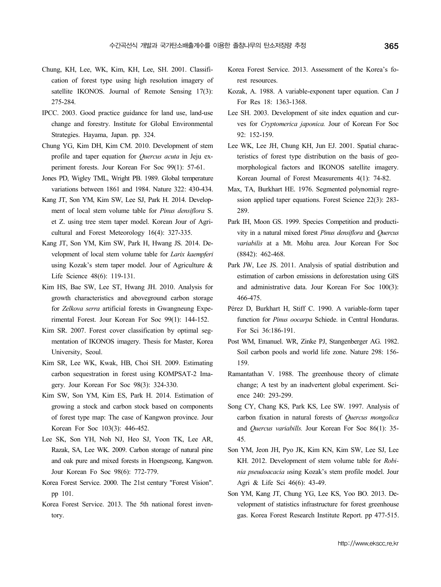- Chung, KH, Lee, WK, Kim, KH, Lee, SH. 2001. Classification of forest type using high resolution imagery of satellite IKONOS. Journal of Remote Sensing 17(3): 275-284.
- IPCC. 2003. Good practice guidance for land use, land-use change and forestry. Institute for Global Environmental Strategies. Hayama, Japan. pp. 324.
- Chung YG, Kim DH, Kim CM. 2010. Development of stem profile and taper equation for *Quercus acuta* in Jeju experiment forests. Jour Korean For Soc 99(1): 57-61.
- Jones PD, Wigley TML, Wright PB. 1989. Global temperature variations between 1861 and 1984. Nature 322: 430-434.
- Kang JT, Son YM, Kim SW, Lee SJ, Park H. 2014. Development of local stem volume table for *Pinus densiflora* S. et Z. using tree stem taper model. Korean Jour of Agricultural and Forest Meteorology 16(4): 327-335.
- Kang JT, Son YM, Kim SW, Park H, Hwang JS. 2014. Development of local stem volume table for *Larix kaempferi* using Kozak's stem taper model. Jour of Agriculture & Life Science 48(6): 119-131.
- Kim HS, Bae SW, Lee ST, Hwang JH. 2010. Analysis for growth characteristics and aboveground carbon storage for *Zelkova serra* artificial forests in Gwangneung Experimental Forest. Jour Korean For Soc 99(1): 144-152.
- Kim SR. 2007. Forest cover classification by optimal segmentation of IKONOS imagery. Thesis for Master, Korea Post WM, Emanuel. WR, Zinke PJ, Stangenberger AG. 1982. University, Seoul.
- Kim SR, Lee WK, Kwak, HB, Choi SH. 2009. Estimating carbon sequestration in forest using KOMPSAT-2 Imagery. Jour Korean For Soc 98(3): 324-330.
- Kim SW, Son YM, Kim ES, Park H. 2014. Estimation of growing a stock and carbon stock based on components of forest type map: The case of Kangwon province. Jour Korean For Soc 103(3): 446-452.
- Lee SK, Son YH, Noh NJ, Heo SJ, Yoon TK, Lee AR, Razak, SA, Lee WK. 2009. Carbon storage of natural pine and oak pure and mixed forests in Hoengseong, Kangwon. Jour Korean Fo Soc 98(6): 772-779.
- Korea Forest Service. 2000. The 21st century "Forest Vision". pp 101.
- Korea Forest Service. 2013. The 5th national forest inventory.
- Korea Forest Service. 2013. Assessment of the Korea's forest resources.
- Kozak, A. 1988. A variable-exponent taper equation. Can J For Res 18: 1363-1368.
- Lee SH. 2003. Development of site index equation and curves for *Cryptomerica japonica.* Jour of Korean For Soc 92: 152-159.
- Lee WK, Lee JH, Chung KH, Jun EJ. 2001. Spatial characteristics of forest type distribution on the basis of geomorphological factors and IKONOS satellite imagery. Korean Journal of Forest Measurements 4(1): 74-82.
- Max, TA, Burkhart HE. 1976. Segmented polynomial regression applied taper equations. Forest Science 22(3): 283- 289.
- Park IH, Moon GS. 1999. Species Competition and productivity in a natural mixed forest *Pinus densiflora* and *Quercus variabilis* at a Mt. Mohu area. Jour Korean For Soc (8842): 462-468.
- Park JW, Lee JS. 2011. Analysis of spatial distribution and estimation of carbon emissions in deforestation using GIS and administrative data. Jour Korean For Soc 100(3): 466-475.
- Pérez D, Burkhart H, Stiff C. 1990. A variable-form taper function for *Pinus oocarpa* Schiede. in Central Honduras. For Sci 36:186-191.
- Soil carbon pools and world life zone. Nature 298: 156-159.
- Ramantathan V. 1988. The greenhouse theory of climate change; A test by an inadvertent global experiment. Science 240: 293-299.
- Song CY, Chang KS, Park KS, Lee SW. 1997. Analysis of carbon fixation in natural forests of *Quercus mongolica*  and *Quercus variabills.* Jour Korean For Soc 86(1): 35- 45.
- Son YM, Jeon JH, Pyo JK, Kim KN, Kim SW, Lee SJ, Lee KH. 2012. Development of stem volume table for *Robinia pseudoacacia u*sing Kozak's stem profile model. Jour Agri & Life Sci 46(6): 43-49.
- Son YM, Kang JT, Chung YG, Lee KS, Yoo BO. 2013. Development of statistics infrastructure for forest greenhouse gas. Korea Forest Research Institute Report. pp 477-515.